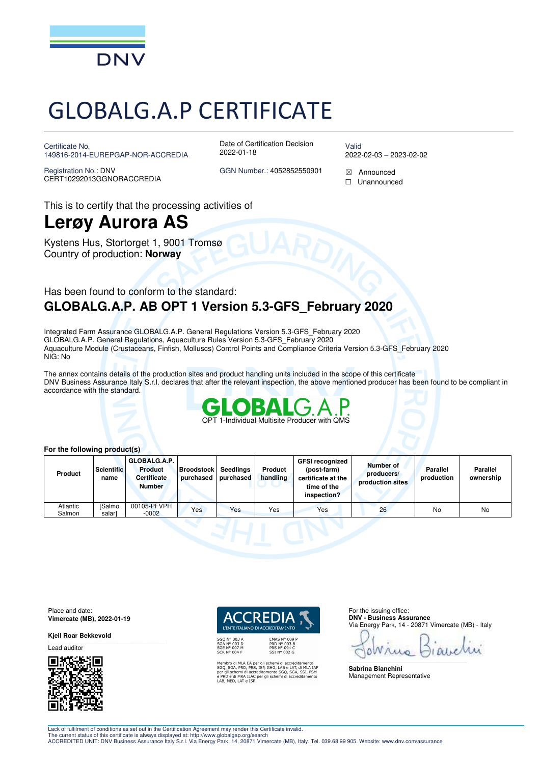

# GLOBALG.A.P CERTIFICATE

Certificate No. 149816-2014-EUREPGAP-NOR-ACCREDIA

Registration No.: DNV CERT10292013GGNORACCREDIA Date of Certification Decision 2022-01-18

Valid 2022-02-03 – 2023-02-02

GGN Number.: 4052852550901  $\boxtimes$  Announced ☐ Unannounced

This is to certify that the processing activities of

### **Lerøy Aurora AS**

Kystens Hus, Stortorget 1, 9001 Tromsø Country of production: **Norway**

### Has been found to conform to the standard: **GLOBALG.A.P. AB OPT 1 Version 5.3-GFS\_February 2020**

Integrated Farm Assurance GLOBALG.A.P. General Regulations Version 5.3-GFS\_February 2020 GLOBALG.A.P. General Regulations, Aquaculture Rules Version 5.3-GFS\_February 2020 Aquaculture Module (Crustaceans, Finfish, Molluscs) Control Points and Compliance Criteria Version 5.3-GFS\_February 2020 NIG: No

The annex contains details of the production sites and product handling units included in the scope of this certificate DNV Business Assurance Italy S.r.l. declares that after the relevant inspection, the above mentioned producer has been found to be compliant in accordance with the standard.



#### **For the following product(s)**

| Product            | <b>Scientific</b><br>name | GLOBALG.A.P.<br><b>Product</b><br><b>Certificate</b><br><b>Number</b> | <b>Broodstock</b><br>purchased | Seedlings<br>purchased | Product<br>handling | <b>GFSI recognized</b><br>(post-farm)<br>certificate at the<br>time of the<br>inspection? | Number of<br>producers/<br>production sites | <b>Parallel</b><br>production | <b>Parallel</b><br>ownership |
|--------------------|---------------------------|-----------------------------------------------------------------------|--------------------------------|------------------------|---------------------|-------------------------------------------------------------------------------------------|---------------------------------------------|-------------------------------|------------------------------|
| Atlantic<br>Salmon | <b>ISalmo</b><br>salar]   | 00105-PFVPH<br>$-0002$                                                | Yes                            | Yes                    | Yes                 | Yes                                                                                       | 26                                          | No                            | No                           |

Place and date: **Vimercate (MB), 2022-01-19** 

**Kjell Roar Bekkevold** 

Lead auditor



*I'ENTE ITALIANO DI ACCREDITAMENTO* 

Membro di MLA EA per gli schemi di accreditamento<br>SGQ, SGA, PRD, PRS, ISP, GHG, LAB e LAT, di MLA IAI<br>per gli schemi di accreditamento SGQ, SGA, SSI, FSM<br>e PRD e di MRA ILAC per gli schemi di accreditamento<br>LAB, MED, LAT e

**EMAS N° 009<br>PRD N° 003 B<br>PRS N° 094 C<br>SSI N° 002 G** 

For the issuing office: **DNV - Business Assurance**  Via Energy Park, 14 - 20871 Vimercate (MB) - Italy

 $\mathcal{L}_\text{max}$ 

**Sabrina Bianchini**  Management Representative

Lack of fulfilment of conditions as set out in the Certification Agreement may render this Certificate invalid.

The current status of this certificate is always displayed at: http://www.globalgap.org/search<br>ACCREDITED UNIT: DNV Business Assurance Italy S.r.l. Via Energy Park, 14, 20871 Vimercate (MB), Italy. Tel. 039.68 99 905. Webs